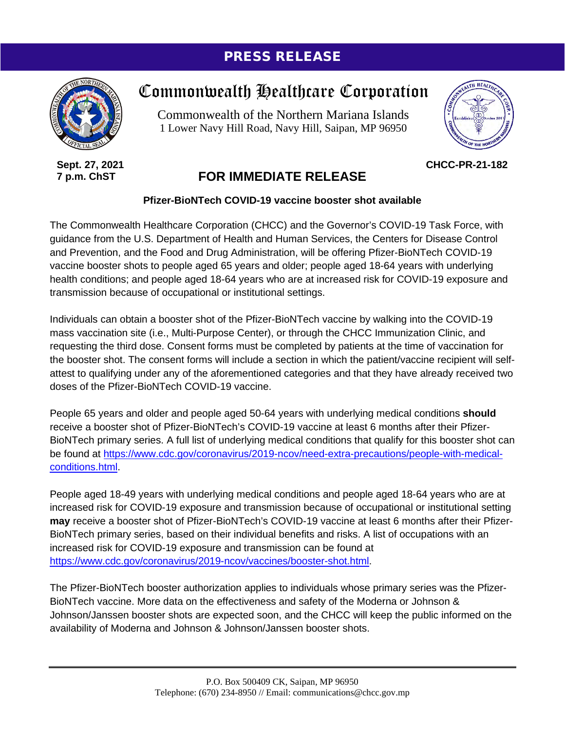## PRESS RELEASE



**Sept. 27, 2021 7 p.m. ChST**

## Commonwealth Healthcare Corporation

Commonwealth of the Northern Mariana Islands 1 Lower Navy Hill Road, Navy Hill, Saipan, MP 96950



**CHCC-PR-21-182**

## **FOR IMMEDIATE RELEASE**

## **Pfizer-BioNTech COVID-19 vaccine booster shot available**

The Commonwealth Healthcare Corporation (CHCC) and the Governor's COVID-19 Task Force, with guidance from the U.S. Department of Health and Human Services, the Centers for Disease Control and Prevention, and the Food and Drug Administration, will be offering Pfizer-BioNTech COVID-19 vaccine booster shots to people aged 65 years and older; people aged 18-64 years with underlying health conditions; and people aged 18-64 years who are at increased risk for COVID-19 exposure and transmission because of occupational or institutional settings.

Individuals can obtain a booster shot of the Pfizer-BioNTech vaccine by walking into the COVID-19 mass vaccination site (i.e., Multi-Purpose Center), or through the CHCC Immunization Clinic, and requesting the third dose. Consent forms must be completed by patients at the time of vaccination for the booster shot. The consent forms will include a section in which the patient/vaccine recipient will selfattest to qualifying under any of the aforementioned categories and that they have already received two doses of the Pfizer-BioNTech COVID-19 vaccine.

People 65 years and older and people aged 50-64 years with underlying medical conditions **should**  receive a booster shot of Pfizer-BioNTech's COVID-19 vaccine at least 6 months after their Pfizer-BioNTech primary series. A full list of underlying medical conditions that qualify for this booster shot can be found at [https://www.cdc.gov/coronavirus/2019-ncov/need-extra-precautions/people-with-medical](https://www.cdc.gov/coronavirus/2019-ncov/need-extra-precautions/people-with-medical-conditions.html)[conditions.html.](https://www.cdc.gov/coronavirus/2019-ncov/need-extra-precautions/people-with-medical-conditions.html)

People aged 18-49 years with underlying medical conditions and people aged 18-64 years who are at increased risk for COVID-19 exposure and transmission because of occupational or institutional setting **may** receive a booster shot of Pfizer-BioNTech's COVID-19 vaccine at least 6 months after their Pfizer-BioNTech primary series, based on their individual benefits and risks. A list of occupations with an increased risk for COVID-19 exposure and transmission can be found at [https://www.cdc.gov/coronavirus/2019-ncov/vaccines/booster-shot.html.](https://www.cdc.gov/coronavirus/2019-ncov/vaccines/booster-shot.html)

The Pfizer-BioNTech booster authorization applies to individuals whose primary series was the Pfizer-BioNTech vaccine. More data on the effectiveness and safety of the Moderna or Johnson & Johnson/Janssen booster shots are expected soon, and the CHCC will keep the public informed on the availability of Moderna and Johnson & Johnson/Janssen booster shots.